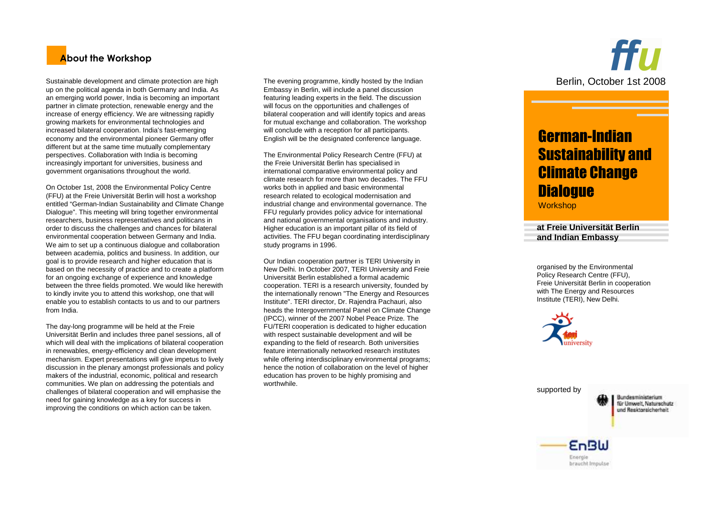# **About the Workshop**

Sustainable development and climate protection are high up on the political agenda in both Germany and India. As an emerging world power, India is becoming an important partner in climate protection, renewable energy and the increase of energy efficiency. We are witnessing rapidly growing markets for environmental technologies and increased bilateral cooperation. India's fast-emerging economy and the environmental pioneer Germany offer different but at the same time mutually complementary perspectives. Collaboration with India is becoming increasingly important for universities, business and government organisations throughout the world.

On October 1st, 2008 the Environmental Policy Centre (FFU) at the Freie Universität Berlin will host a workshop entitled "German-Indian Sustainability and Climate Change Dialogue". This meeting will bring together environmental researchers, business representatives and politicans in order to discuss the challenges and chances for bilateral environmental cooperation between Germany and India. We aim to set up a continuous dialogue and collaboration between academia, politics and business. In addition, our goal is to provide research and higher education that is based on the necessity of practice and to create a platform for an ongoing exchange of experience and knowledge between the three fields promoted. We would like herewith to kindly invite you to attend this workshop, one that will enable you to establish contacts to us and to our partners from India.

The day-long programme will be held at the Freie Universität Berlin and includes three panel sessions, all of which will deal with the implications of bilateral cooperation in renewables, energy-efficiency and clean development mechanism. Expert presentations will give impetus to lively discussion in the plenary amongst professionals and policy makers of the industrial, economic, political and research communities. We plan on addressing the potentials and challenges of bilateral cooperation and will emphasise the need for gaining knowledge as a key for success in improving the conditions on which action can be taken.

The evening programme, kindly hosted by the Indian Embassy in Berlin, will include a panel discussion featuring leading experts in the field. The discussion will focus on the opportunities and challenges of bilateral cooperation and will identify topics and areas for mutual exchange and collaboration. The workshopwill conclude with a reception for all participants. English will be the designated conference language.

The Environmental Policy Research Centre (FFU) at the Freie Universität Berlin has specialised in international comparative environmental policy and climate research for more than two decades. The FFUworks both in applied and basic environmental research related to ecological modernisation and industrial change and environmental governance. The FFU regularly provides policy advice for international and national governmental organisations and industry. Higher education is an important pillar of its field of activities. The FFU began coordinating interdisciplinary study programs in 1996.

Our Indian cooperation partner is TERI University in New Delhi. In October 2007, TERI University and FreieUniversität Berlin established a formal academic cooperation. TERI is a research university, founded by the internationally renown "The Energy and Resources Institute". TERI director, Dr. Rajendra Pachauri, also heads the Intergovernmental Panel on Climate Change(IPCC), winner of the 2007 Nobel Peace Prize. The FU/TERI cooperation is dedicated to higher education with respect sustainable development and will be expanding to the field of research. Both universities feature internationally networked research institutes while offering interdisciplinary environmental programs; hence the notion of collaboration on the level of higher education has proven to be highly promising and worthwhile.

ffu Berlin, October 1st 2008

# German-Indian Sustainability and Climate Change **Dialogue**

**Workshop** 

**at Freie Universität Berlin and Indian Embassy**

organised by the Environmental Policy Research Centre (FFU), Freie Universität Berlin in cooperation with The Energy and Resources Institute (TERI), New Delhi.

> **EnBW** Energie braucht Impulse



supported by

Bundesministerium für Umwelt, Naturschutz und Resktorsicherheit